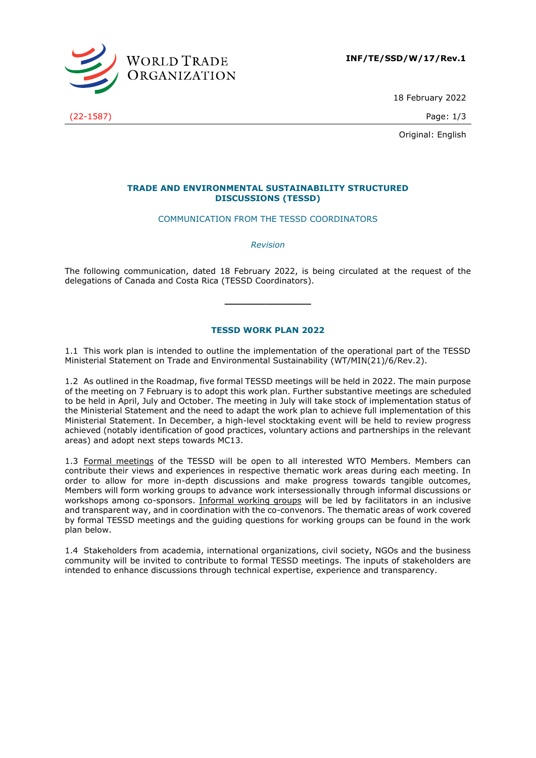

**INF/TE/SSD/W/17/Rev.1**

18 February 2022

Original: English

## **TRADE AND ENVIRONMENTAL SUSTAINABILITY STRUCTURED DISCUSSIONS (TESSD)**

## COMMUNICATION FROM THE TESSD COORDINATORS

*Revision*

The following communication, dated 18 February 2022, is being circulated at the request of the delegations of Canada and Costa Rica (TESSD Coordinators).

**\_\_\_\_\_\_\_\_\_\_\_\_\_\_\_**

## **TESSD WORK PLAN 2022**

1.1 This work plan is intended to outline the implementation of the operational part of the TESSD Ministerial Statement on Trade and Environmental Sustainability (WT/MIN(21)/6/Rev.2).

1.2 As outlined in the Roadmap, five formal TESSD meetings will be held in 2022. The main purpose of the meeting on 7 February is to adopt this work plan. Further substantive meetings are scheduled to be held in April, July and October. The meeting in July will take stock of implementation status of the Ministerial Statement and the need to adapt the work plan to achieve full implementation of this Ministerial Statement. In December, a high-level stocktaking event will be held to review progress achieved (notably identification of good practices, voluntary actions and partnerships in the relevant areas) and adopt next steps towards MC13.

1.3 Formal meetings of the TESSD will be open to all interested WTO Members. Members can contribute their views and experiences in respective thematic work areas during each meeting. In order to allow for more in-depth discussions and make progress towards tangible outcomes, Members will form working groups to advance work intersessionally through informal discussions or workshops among co-sponsors. Informal working groups will be led by facilitators in an inclusive and transparent way, and in coordination with the co-convenors. The thematic areas of work covered by formal TESSD meetings and the guiding questions for working groups can be found in the work plan below.

1.4 Stakeholders from academia, international organizations, civil society, NGOs and the business community will be invited to contribute to formal TESSD meetings. The inputs of stakeholders are intended to enhance discussions through technical expertise, experience and transparency.

(22-1587) Page: 1/3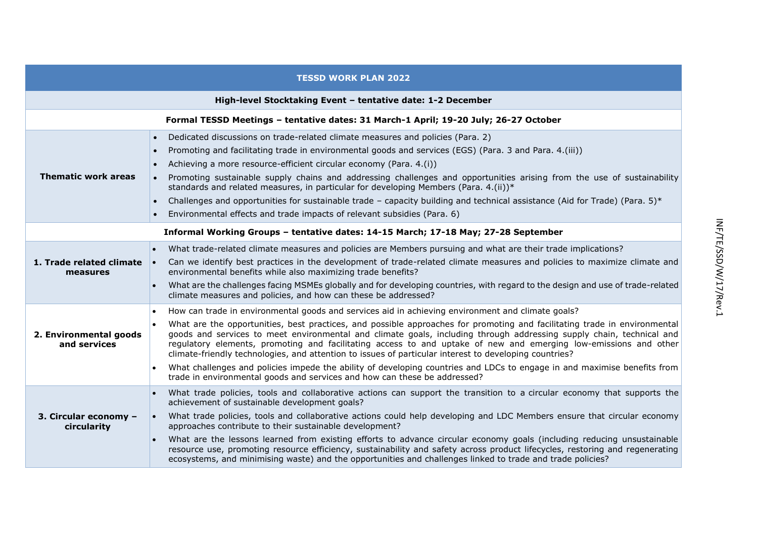| <b>TESSD WORK PLAN 2022</b>                                                          |                                                                                                                                                                                                                                                                                                                                                                                                                                                                                                                                                                                                                                                                                                                                                                                                            |  |
|--------------------------------------------------------------------------------------|------------------------------------------------------------------------------------------------------------------------------------------------------------------------------------------------------------------------------------------------------------------------------------------------------------------------------------------------------------------------------------------------------------------------------------------------------------------------------------------------------------------------------------------------------------------------------------------------------------------------------------------------------------------------------------------------------------------------------------------------------------------------------------------------------------|--|
| High-level Stocktaking Event - tentative date: 1-2 December                          |                                                                                                                                                                                                                                                                                                                                                                                                                                                                                                                                                                                                                                                                                                                                                                                                            |  |
| Formal TESSD Meetings - tentative dates: 31 March-1 April; 19-20 July; 26-27 October |                                                                                                                                                                                                                                                                                                                                                                                                                                                                                                                                                                                                                                                                                                                                                                                                            |  |
| <b>Thematic work areas</b>                                                           | Dedicated discussions on trade-related climate measures and policies (Para. 2)<br>$\bullet$<br>Promoting and facilitating trade in environmental goods and services (EGS) (Para. 3 and Para. 4.(iii))<br>Achieving a more resource-efficient circular economy (Para. 4.(i))<br>Promoting sustainable supply chains and addressing challenges and opportunities arising from the use of sustainability<br>standards and related measures, in particular for developing Members (Para. 4.(ii))*<br>Challenges and opportunities for sustainable trade - capacity building and technical assistance (Aid for Trade) (Para. 5)*<br>Environmental effects and trade impacts of relevant subsidies (Para. 6)                                                                                                     |  |
| Informal Working Groups - tentative dates: 14-15 March; 17-18 May; 27-28 September   |                                                                                                                                                                                                                                                                                                                                                                                                                                                                                                                                                                                                                                                                                                                                                                                                            |  |
| 1. Trade related climate<br>measures                                                 | What trade-related climate measures and policies are Members pursuing and what are their trade implications?<br>Can we identify best practices in the development of trade-related climate measures and policies to maximize climate and<br>environmental benefits while also maximizing trade benefits?<br>What are the challenges facing MSMEs globally and for developing countries, with regard to the design and use of trade-related<br>$\bullet$<br>climate measures and policies, and how can these be addressed?                                                                                                                                                                                                                                                                                  |  |
| 2. Environmental goods<br>and services                                               | How can trade in environmental goods and services aid in achieving environment and climate goals?<br>$\bullet$<br>What are the opportunities, best practices, and possible approaches for promoting and facilitating trade in environmental<br>goods and services to meet environmental and climate goals, including through addressing supply chain, technical and<br>regulatory elements, promoting and facilitating access to and uptake of new and emerging low-emissions and other<br>climate-friendly technologies, and attention to issues of particular interest to developing countries?<br>What challenges and policies impede the ability of developing countries and LDCs to engage in and maximise benefits from<br>trade in environmental goods and services and how can these be addressed? |  |
| 3. Circular economy -<br>circularity                                                 | What trade policies, tools and collaborative actions can support the transition to a circular economy that supports the<br>$\bullet$<br>achievement of sustainable development goals?<br>What trade policies, tools and collaborative actions could help developing and LDC Members ensure that circular economy<br>approaches contribute to their sustainable development?<br>What are the lessons learned from existing efforts to advance circular economy goals (including reducing unsustainable<br>resource use, promoting resource efficiency, sustainability and safety across product lifecycles, restoring and regenerating<br>ecosystems, and minimising waste) and the opportunities and challenges linked to trade and trade policies?                                                        |  |